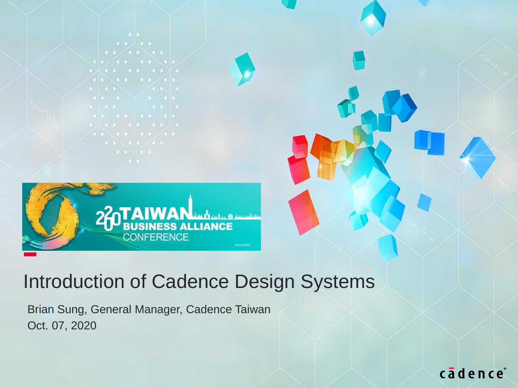

#### Introduction of Cadence Design Systems

Brian Sung, General Manager, Cadence Taiwan Oct. 07, 2020

cādence®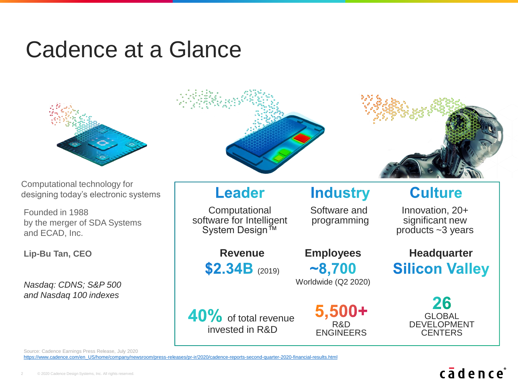## Cadence at a Glance



Computational technology for designing today's electronic systems

Founded in 1988 by the merger of SDA Systems and ECAD, Inc.

**Lip-Bu Tan, CEO**

*Nasdaq: CDNS; S&P 500 and Nasdaq 100 indexes*



Source: Cadence Earnings Press Release, July 2020

[https://www.cadence.com/en\\_US/home/company/newsroom/press-releases/pr-ir/2020/cadence-reports-second-quarter-2020-financial-results.html](https://www.cadence.com/en_US/home/company/newsroom/press-releases/pr-ir/2020/cadence-reports-second-quarter-2020-financial-results.html)

#### cādence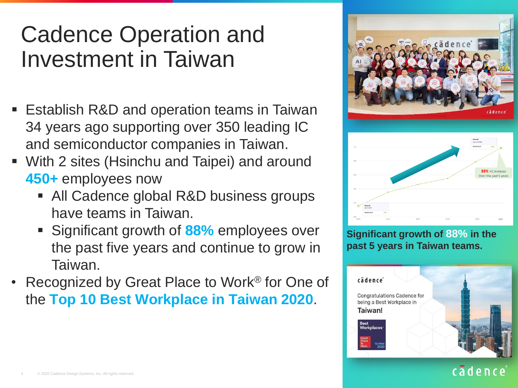## Cadence Operation and Investment in Taiwan

- Establish R&D and operation teams in Taiwan 34 years ago supporting over 350 leading IC and semiconductor companies in Taiwan.
- With 2 sites (Hsinchu and Taipei) and around **450+** employees now
	- All Cadence global R&D business groups have teams in Taiwan.
	- Significant growth of 88% employees over the past five years and continue to grow in Taiwan.
- Recognized by Great Place to Work® for One of the **Top 10 Best Workplace in Taiwan 2020**.



**Significant growth of 88% in the past 5 years in Taiwan teams.**



#### cadence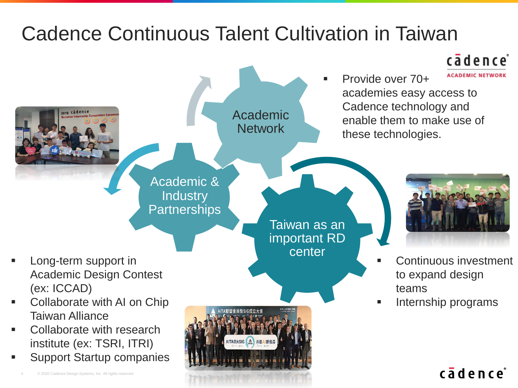### Cadence Continuous Talent Cultivation in Taiwan